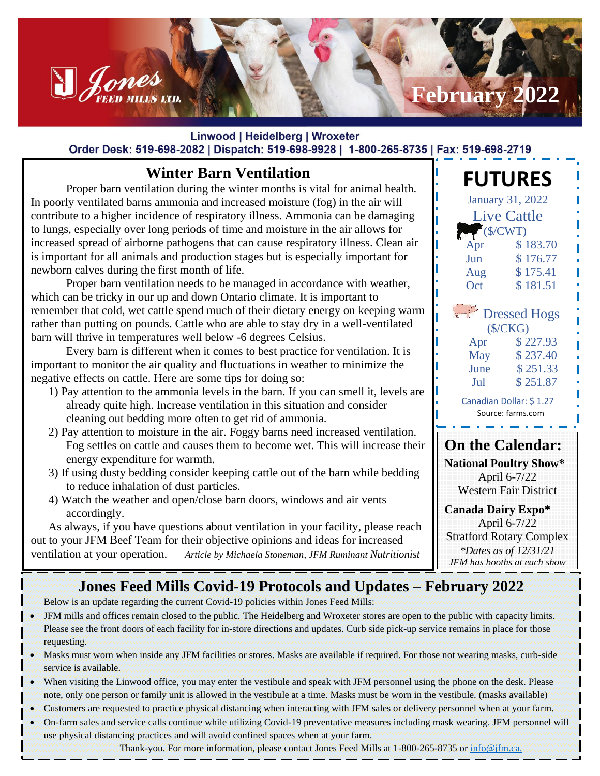# **February 2022**

#### Linwood | Heidelberg | Wroxeter Order Desk: 519-698-2082 | Dispatch: 519-698-9928 | 1-800-265-8735 | Fax: 519-698-2719

## **Winter Barn Ventilation**

Denes

Proper barn ventilation during the winter months is vital for animal health. In poorly ventilated barns ammonia and increased moisture (fog) in the air will contribute to a higher incidence of respiratory illness. Ammonia can be damaging to lungs, especially over long periods of time and moisture in the air allows for increased spread of airborne pathogens that can cause respiratory illness. Clean air is important for all animals and production stages but is especially important for newborn calves during the first month of life.

Proper barn ventilation needs to be managed in accordance with weather, which can be tricky in our up and down Ontario climate. It is important to remember that cold, wet cattle spend much of their dietary energy on keeping warm rather than putting on pounds. Cattle who are able to stay dry in a well-ventilated barn will thrive in temperatures well below -6 degrees Celsius.

Every barn is different when it comes to best practice for ventilation. It is important to monitor the air quality and fluctuations in weather to minimize the negative effects on cattle. Here are some tips for doing so:

- 1) Pay attention to the ammonia levels in the barn. If you can smell it, levels are already quite high. Increase ventilation in this situation and consider cleaning out bedding more often to get rid of ammonia.
- 2) Pay attention to moisture in the air. Foggy barns need increased ventilation. Fog settles on cattle and causes them to become wet. This will increase their energy expenditure for warmth.
- 3) If using dusty bedding consider keeping cattle out of the barn while bedding to reduce inhalation of dust particles.
- 4) Watch the weather and open/close barn doors, windows and air vents accordingly.

As always, if you have questions about ventilation in your facility, please reach out to your JFM Beef Team for their objective opinions and ideas for increased ventilation at your operation. *Article by Michaela Stoneman, JFM Ruminant Nutritionist*

#### Apr \$ 227.93 May \$ 237.40 June \$ 251.33 Jul \$ 251.87 Canadian Dollar: \$ 1.27 Source: farms.com <u>a serie de la c</u> **On the Calendar: National Poultry Show\***

**FUTURES**

January 31, 2022 Live Cattle  $\sqrt{\text{S/CWT}}$ Apr \$ 183.70 Jun \$ 176.77 Aug \$ 175.41 Oct \$181.51

**Dressed Hogs** (\$/CKG)

April 6-7/22 Western Fair District

**Canada Dairy Expo\*** April 6-7/22 Stratford Rotary Complex *\*Dates as of 12/31/21 JFM has booths at each show*

## **Jones Feed Mills Covid-19 Protocols and Updates – February 2022**

Below is an update regarding the current Covid-19 policies within Jones Feed Mills:

- JFM mills and offices remain closed to the public. The Heidelberg and Wroxeter stores are open to the public with capacity limits. Please see the front doors of each facility for in-store directions and updates. Curb side pick-up service remains in place for those requesting.
- Masks must worn when inside any JFM facilities or stores. Masks are available if required. For those not wearing masks, curb-side service is available.
- When visiting the Linwood office, you may enter the vestibule and speak with JFM personnel using the phone on the desk. Please note, only one person or family unit is allowed in the vestibule at a time. Masks must be worn in the vestibule. (masks available)
- Customers are requested to practice physical distancing when interacting with JFM sales or delivery personnel when at your farm.
- On-farm sales and service calls continue while utilizing Covid-19 preventative measures including mask wearing. JFM personnel will use physical distancing practices and will avoid confined spaces when at your farm.

Thank-you. For more information, please contact Jones Feed Mills at 1-800-265-8735 or [info@jfm.ca.](mailto:info@jfm.ca)